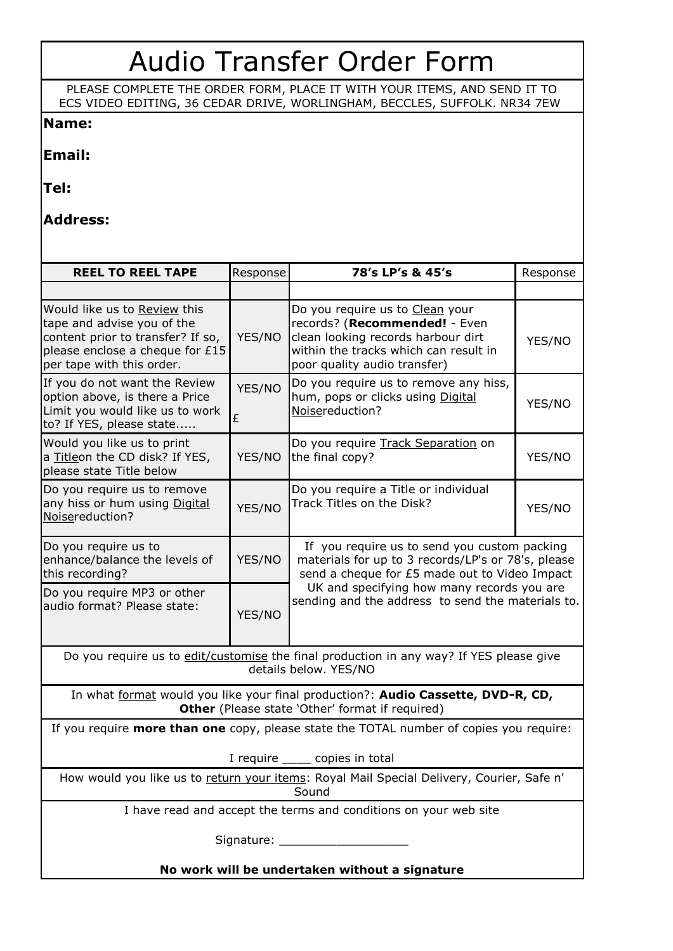## Audio Transfer Order Form

PLEASE COMPLETE THE ORDER FORM, PLACE IT WITH YOUR ITEMS, AND SEND IT TO ECS VIDEO EDITING, 36 CEDAR DRIVE, WORLINGHAM, BECCLES, SUFFOLK. NR34 7EW

## **Name:**

**Email:**

**Tel:**

**Address:**

| <b>REEL TO REEL TAPE</b>                                                                                                                                        | Response    | 78's LP's & 45's                                                                                                                                                                                                                                       | Response |
|-----------------------------------------------------------------------------------------------------------------------------------------------------------------|-------------|--------------------------------------------------------------------------------------------------------------------------------------------------------------------------------------------------------------------------------------------------------|----------|
|                                                                                                                                                                 |             |                                                                                                                                                                                                                                                        |          |
| Would like us to Review this<br>tape and advise you of the<br>content prior to transfer? If so,<br>please enclose a cheque for £15<br>per tape with this order. | YES/NO      | Do you require us to Clean your<br>records? (Recommended! - Even<br>clean looking records harbour dirt<br>within the tracks which can result in<br>poor quality audio transfer)                                                                        | YES/NO   |
| If you do not want the Review<br>option above, is there a Price<br>Limit you would like us to work<br>to? If YES, please state                                  | YES/NO<br>£ | Do you require us to remove any hiss,<br>hum, pops or clicks using Digital<br>Noisereduction?                                                                                                                                                          | YES/NO   |
| Would you like us to print<br>a Titleon the CD disk? If YES,<br>please state Title below                                                                        | YES/NO      | Do you require Track Separation on<br>the final copy?                                                                                                                                                                                                  | YES/NO   |
| Do you require us to remove<br>any hiss or hum using Digital<br>Noisereduction?                                                                                 | YES/NO      | Do you require a Title or individual<br>Track Titles on the Disk?                                                                                                                                                                                      | YES/NO   |
| Do you require us to<br>enhance/balance the levels of<br>this recording?                                                                                        | YES/NO      | If you require us to send you custom packing<br>materials for up to 3 records/LP's or 78's, please<br>send a cheque for £5 made out to Video Impact<br>UK and specifying how many records you are<br>sending and the address to send the materials to. |          |
| Do you require MP3 or other<br>audio format? Please state:                                                                                                      | YES/NO      |                                                                                                                                                                                                                                                        |          |
| Do you require us to edit/customise the final production in any way? If YES please give<br>details below. YES/NO                                                |             |                                                                                                                                                                                                                                                        |          |
| In what format would you like your final production?: Audio Cassette, DVD-R, CD,<br>Other (Please state 'Other' format if required)                             |             |                                                                                                                                                                                                                                                        |          |
| If you require more than one copy, please state the TOTAL number of copies you require:                                                                         |             |                                                                                                                                                                                                                                                        |          |
| I require ______ copies in total                                                                                                                                |             |                                                                                                                                                                                                                                                        |          |
| How would you like us to return your items: Royal Mail Special Delivery, Courier, Safe n'<br>Sound                                                              |             |                                                                                                                                                                                                                                                        |          |
| I have read and accept the terms and conditions on your web site                                                                                                |             |                                                                                                                                                                                                                                                        |          |
| Signature: ______________________                                                                                                                               |             |                                                                                                                                                                                                                                                        |          |
| No work will be undertaken without a signature                                                                                                                  |             |                                                                                                                                                                                                                                                        |          |